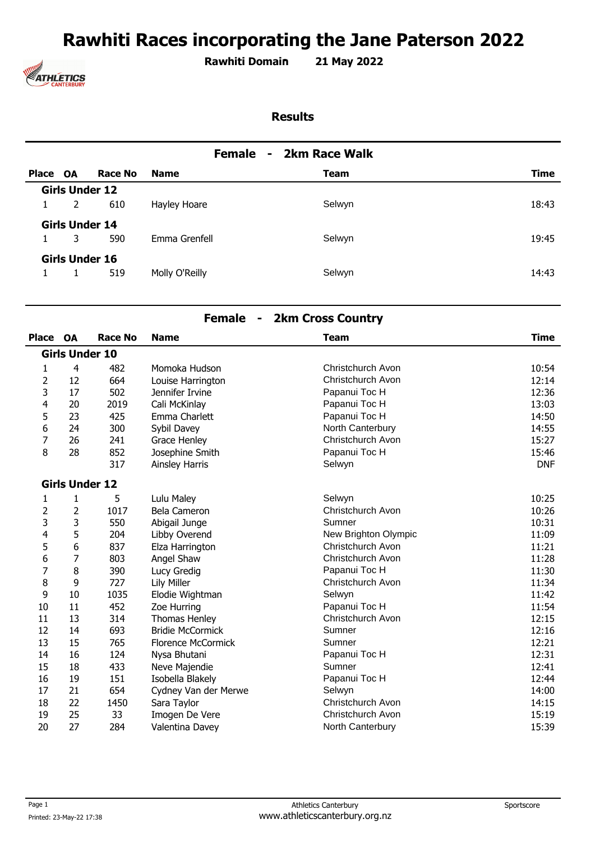# **Rawhiti Races incorporating the Jane Paterson 2022**



**Rawhiti Domain 21 May 2022 .** 

#### **Results**

| 2km Race Walk<br><b>Female</b><br>$\sim$ |                       |         |                |             |             |
|------------------------------------------|-----------------------|---------|----------------|-------------|-------------|
| Place OA                                 |                       | Race No | <b>Name</b>    | <b>Team</b> | <b>Time</b> |
|                                          | <b>Girls Under 12</b> |         |                |             |             |
| 1                                        | 2                     | 610     | Hayley Hoare   | Selwyn      | 18:43       |
|                                          | <b>Girls Under 14</b> |         |                |             |             |
| $\mathbf{1}$                             | 3                     | 590     | Emma Grenfell  | Selwyn      | 19:45       |
|                                          | Girls Under 16        |         |                |             |             |
|                                          |                       | 519     | Molly O'Reilly | Selwyn      | 14:43       |

#### **Female - 2km Cross Country**

| <b>Place</b>   | <b>OA</b>             | <b>Race No</b> | <b>Name</b>               | <b>Team</b>          | <b>Time</b> |
|----------------|-----------------------|----------------|---------------------------|----------------------|-------------|
|                | <b>Girls Under 10</b> |                |                           |                      |             |
| 1              | 4                     | 482            | Momoka Hudson             | Christchurch Avon    | 10:54       |
| $\overline{2}$ | 12                    | 664            | Louise Harrington         | Christchurch Avon    | 12:14       |
| 3              | 17                    | 502            | Jennifer Irvine           | Papanui Toc H        | 12:36       |
| 4              | 20                    | 2019           | Cali McKinlay             | Papanui Toc H        | 13:03       |
| 5              | 23                    | 425            | Emma Charlett             | Papanui Toc H        | 14:50       |
| 6              | 24                    | 300            | Sybil Davey               | North Canterbury     | 14:55       |
| 7              | 26                    | 241            | Grace Henley              | Christchurch Avon    | 15:27       |
| 8              | 28                    | 852            | Josephine Smith           | Papanui Toc H        | 15:46       |
|                |                       | 317            | <b>Ainsley Harris</b>     | Selwyn               | <b>DNF</b>  |
|                | <b>Girls Under 12</b> |                |                           |                      |             |
| 1              | 1                     | 5              | Lulu Maley                | Selwyn               | 10:25       |
| 2              | 2                     | 1017           | Bela Cameron              | Christchurch Avon    | 10:26       |
| 3              | 3                     | 550            | Abigail Junge             | Sumner               | 10:31       |
| 4              | 5                     | 204            | Libby Overend             | New Brighton Olympic | 11:09       |
| 5              | 6                     | 837            | Elza Harrington           | Christchurch Avon    | 11:21       |
| 6              | $\overline{7}$        | 803            | Angel Shaw                | Christchurch Avon    | 11:28       |
| 7              | 8                     | 390            | Lucy Gredig               | Papanui Toc H        | 11:30       |
| 8              | 9                     | 727            | <b>Lily Miller</b>        | Christchurch Avon    | 11:34       |
| 9              | 10                    | 1035           | Elodie Wightman           | Selwyn               | 11:42       |
| 10             | 11                    | 452            | Zoe Hurring               | Papanui Toc H        | 11:54       |
| 11             | 13                    | 314            | Thomas Henley             | Christchurch Avon    | 12:15       |
| 12             | 14                    | 693            | <b>Bridie McCormick</b>   | Sumner               | 12:16       |
| 13             | 15                    | 765            | <b>Florence McCormick</b> | Sumner               | 12:21       |
| 14             | 16                    | 124            | Nysa Bhutani              | Papanui Toc H        | 12:31       |
| 15             | 18                    | 433            | Neve Majendie             | Sumner               | 12:41       |
| 16             | 19                    | 151            | Isobella Blakely          | Papanui Toc H        | 12:44       |
| 17             | 21                    | 654            | Cydney Van der Merwe      | Selwyn               | 14:00       |
| 18             | 22                    | 1450           | Sara Taylor               | Christchurch Avon    | 14:15       |
| 19             | 25                    | 33             | Imogen De Vere            | Christchurch Avon    | 15:19       |
| 20             | 27                    | 284            | Valentina Davey           | North Canterbury     | 15:39       |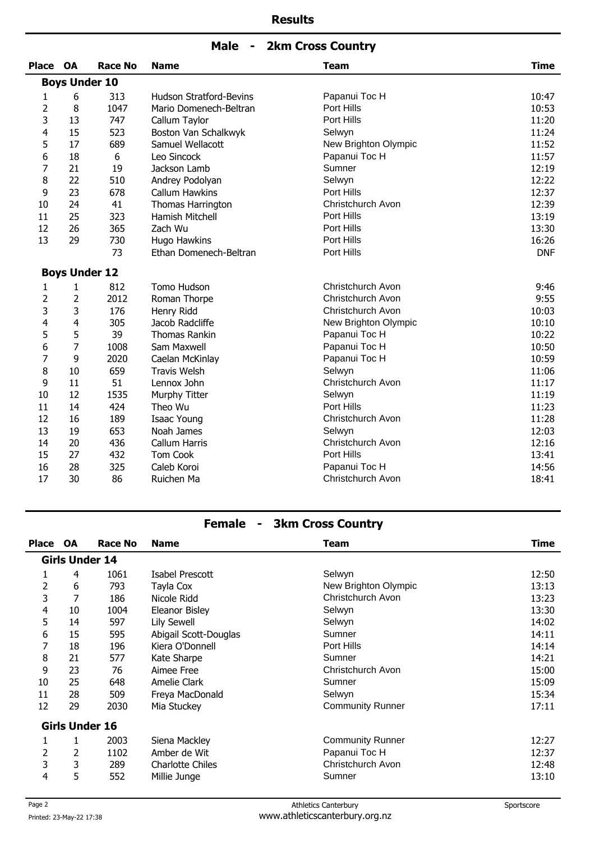| <b>Male</b> |  |  | <b>2km Cross Country</b> |
|-------------|--|--|--------------------------|
|-------------|--|--|--------------------------|

| <b>Place</b>   | <b>OA</b>      | <b>Race No</b>       | <b>Name</b>                    | <b>Team</b>          | <b>Time</b> |
|----------------|----------------|----------------------|--------------------------------|----------------------|-------------|
|                |                | <b>Boys Under 10</b> |                                |                      |             |
| 1              | 6              | 313                  | <b>Hudson Stratford-Bevins</b> | Papanui Toc H        | 10:47       |
| $\overline{2}$ | 8              | 1047                 | Mario Domenech-Beltran         | Port Hills           | 10:53       |
| 3              | 13             | 747                  | Callum Taylor                  | Port Hills           | 11:20       |
| 4              | 15             | 523                  | Boston Van Schalkwyk           | Selwyn               | 11:24       |
| 5              | 17             | 689                  | Samuel Wellacott               | New Brighton Olympic | 11:52       |
| 6              | 18             | 6                    | Leo Sincock                    | Papanui Toc H        | 11:57       |
| 7              | 21             | 19                   | Jackson Lamb                   | Sumner               | 12:19       |
| 8              | 22             | 510                  | Andrey Podolyan                | Selwyn               | 12:22       |
| 9              | 23             | 678                  | <b>Callum Hawkins</b>          | Port Hills           | 12:37       |
| 10             | 24             | 41                   | Thomas Harrington              | Christchurch Avon    | 12:39       |
| 11             | 25             | 323                  | Hamish Mitchell                | Port Hills           | 13:19       |
| 12             | 26             | 365                  | Zach Wu                        | Port Hills           | 13:30       |
| 13             | 29             | 730                  | Hugo Hawkins                   | Port Hills           | 16:26       |
|                |                | 73                   | Ethan Domenech-Beltran         | Port Hills           | <b>DNF</b>  |
|                |                | <b>Boys Under 12</b> |                                |                      |             |
| 1              | 1              | 812                  | Tomo Hudson                    | Christchurch Avon    | 9:46        |
| $\overline{2}$ | $\overline{2}$ | 2012                 | Roman Thorpe                   | Christchurch Avon    | 9:55        |
| 3              | 3              | 176                  | Henry Ridd                     | Christchurch Avon    | 10:03       |
| 4              | 4              | 305                  | Jacob Radcliffe                | New Brighton Olympic | 10:10       |
| 5              | 5              | 39                   | <b>Thomas Rankin</b>           | Papanui Toc H        | 10:22       |
| 6              | $\overline{7}$ | 1008                 | Sam Maxwell                    | Papanui Toc H        | 10:50       |
| 7              | 9              | 2020                 | Caelan McKinlay                | Papanui Toc H        | 10:59       |
| 8              | 10             | 659                  | <b>Travis Welsh</b>            | Selwyn               | 11:06       |
| 9              | 11             | 51                   | Lennox John                    | Christchurch Avon    | 11:17       |
| 10             | 12             | 1535                 | Murphy Titter                  | Selwyn               | 11:19       |
| 11             | 14             | 424                  | Theo Wu                        | Port Hills           | 11:23       |
| 12             | 16             | 189                  | <b>Isaac Young</b>             | Christchurch Avon    | 11:28       |
| 13             | 19             | 653                  | Noah James                     | Selwyn               | 12:03       |
| 14             | 20             | 436                  | Callum Harris                  | Christchurch Avon    | 12:16       |
| 15             | 27             | 432                  | Tom Cook                       | Port Hills           | 13:41       |
| 16             | 28             | 325                  | Caleb Koroi                    | Papanui Toc H        | 14:56       |
| 17             | 30             | 86                   | Ruichen Ma                     | Christchurch Avon    | 18:41       |

# **Female - 3km Cross Country**

| <b>Place</b> | <b>OA</b>             | Race No | <b>Name</b>           | <b>Team</b>             | Time  |
|--------------|-----------------------|---------|-----------------------|-------------------------|-------|
|              | <b>Girls Under 14</b> |         |                       |                         |       |
| 1            | 4                     | 1061    | Isabel Prescott       | Selwyn                  | 12:50 |
| 2            | 6                     | 793     | Tayla Cox             | New Brighton Olympic    | 13:13 |
| 3            | 7                     | 186     | Nicole Ridd           | Christchurch Avon       | 13:23 |
| 4            | 10                    | 1004    | Eleanor Bisley        | Selwyn                  | 13:30 |
| 5            | 14                    | 597     | Lily Sewell           | Selwyn                  | 14:02 |
| 6            | 15                    | 595     | Abigail Scott-Douglas | Sumner                  | 14:11 |
| 7            | 18                    | 196     | Kiera O'Donnell       | Port Hills              | 14:14 |
| 8            | 21                    | 577     | Kate Sharpe           | Sumner                  | 14:21 |
| 9            | 23                    | 76      | Aimee Free            | Christchurch Avon       | 15:00 |
| 10           | 25                    | 648     | Amelie Clark          | Sumner                  | 15:09 |
| 11           | 28                    | 509     | Freya MacDonald       | Selwyn                  | 15:34 |
| 12           | 29                    | 2030    | Mia Stuckey           | <b>Community Runner</b> | 17:11 |
|              | <b>Girls Under 16</b> |         |                       |                         |       |
| 1            |                       | 2003    | Siena Mackley         | <b>Community Runner</b> | 12:27 |
| 2            | 2                     | 1102    | Amber de Wit          | Papanui Toc H           | 12:37 |
| 3            | 3                     | 289     | Charlotte Chiles      | Christchurch Avon       | 12:48 |
| 4            | 5                     | 552     | Millie Junge          | Sumner                  | 13:10 |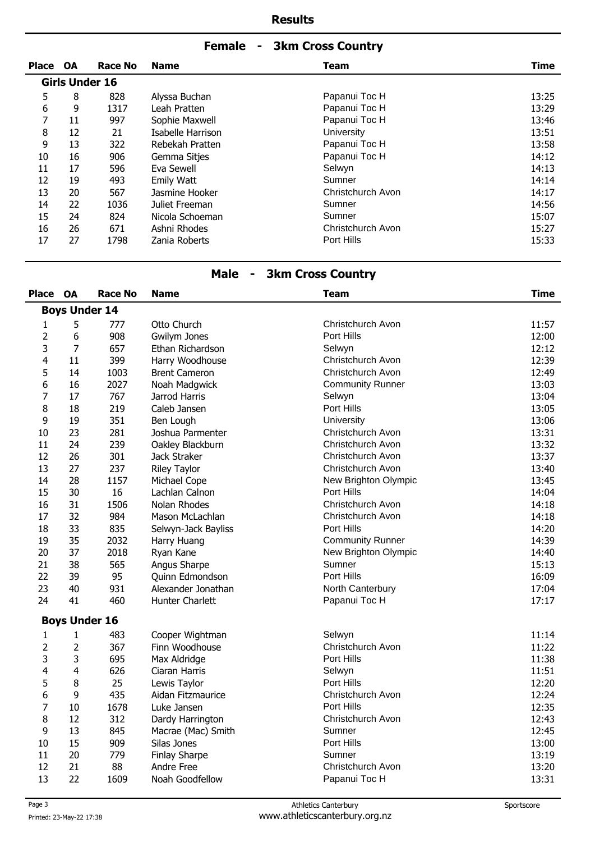## **Female - 3km Cross Country**

| <b>Place</b> | <b>OA</b> | Race No               | <b>Name</b>       | Team              | <b>Time</b> |
|--------------|-----------|-----------------------|-------------------|-------------------|-------------|
|              |           | <b>Girls Under 16</b> |                   |                   |             |
| 5            | 8         | 828                   | Alyssa Buchan     | Papanui Toc H     | 13:25       |
| 6            | 9         | 1317                  | Leah Pratten      | Papanui Toc H     | 13:29       |
| 7            | 11        | 997                   | Sophie Maxwell    | Papanui Toc H     | 13:46       |
| 8            | 12        | 21                    | Isabelle Harrison | <b>University</b> | 13:51       |
| 9            | 13        | 322                   | Rebekah Pratten   | Papanui Toc H     | 13:58       |
| 10           | 16        | 906                   | Gemma Sitjes      | Papanui Toc H     | 14:12       |
| 11           | 17        | 596                   | Eva Sewell        | Selwyn            | 14:13       |
| 12           | 19        | 493                   | <b>Emily Watt</b> | Sumner            | 14:14       |
| 13           | 20        | 567                   | Jasmine Hooker    | Christchurch Avon | 14:17       |
| 14           | 22        | 1036                  | Juliet Freeman    | Sumner            | 14:56       |
| 15           | 24        | 824                   | Nicola Schoeman   | Sumner            | 15:07       |
| 16           | 26        | 671                   | Ashni Rhodes      | Christchurch Avon | 15:27       |
| 17           | 27        | 1798                  | Zania Roberts     | Port Hills        | 15:33       |

# **Male - 3km Cross Country**

| <b>Place</b>   | <b>OA</b>            | <b>Race No</b> | <b>Name</b>          | <b>Team</b>             | <b>Time</b> |
|----------------|----------------------|----------------|----------------------|-------------------------|-------------|
|                | <b>Boys Under 14</b> |                |                      |                         |             |
| 1              | 5                    | 777            | Otto Church          | Christchurch Avon       | 11:57       |
| 2              | 6                    | 908            | Gwilym Jones         | Port Hills              | 12:00       |
| 3              | $\overline{7}$       | 657            | Ethan Richardson     | Selwyn                  | 12:12       |
| 4              | 11                   | 399            | Harry Woodhouse      | Christchurch Avon       | 12:39       |
| 5              | 14                   | 1003           | <b>Brent Cameron</b> | Christchurch Avon       | 12:49       |
| 6              | 16                   | 2027           | Noah Madgwick        | <b>Community Runner</b> | 13:03       |
| 7              | 17                   | 767            | Jarrod Harris        | Selwyn                  | 13:04       |
| 8              | 18                   | 219            | Caleb Jansen         | Port Hills              | 13:05       |
| 9              | 19                   | 351            | Ben Lough            | University              | 13:06       |
| 10             | 23                   | 281            | Joshua Parmenter     | Christchurch Avon       | 13:31       |
| 11             | 24                   | 239            | Oakley Blackburn     | Christchurch Avon       | 13:32       |
| 12             | 26                   | 301            | Jack Straker         | Christchurch Avon       | 13:37       |
| 13             | 27                   | 237            | <b>Riley Taylor</b>  | Christchurch Avon       | 13:40       |
| 14             | 28                   | 1157           | Michael Cope         | New Brighton Olympic    | 13:45       |
| 15             | 30                   | 16             | Lachlan Calnon       | Port Hills              | 14:04       |
| 16             | 31                   | 1506           | Nolan Rhodes         | Christchurch Avon       | 14:18       |
| 17             | 32                   | 984            | Mason McLachlan      | Christchurch Avon       | 14:18       |
| 18             | 33                   | 835            | Selwyn-Jack Bayliss  | Port Hills              | 14:20       |
| 19             | 35                   | 2032           | Harry Huang          | <b>Community Runner</b> | 14:39       |
| 20             | 37                   | 2018           | Ryan Kane            | New Brighton Olympic    | 14:40       |
| 21             | 38                   | 565            | Angus Sharpe         | Sumner                  | 15:13       |
| 22             | 39                   | 95             | Quinn Edmondson      | Port Hills              | 16:09       |
| 23             | 40                   | 931            | Alexander Jonathan   | North Canterbury        | 17:04       |
| 24             | 41                   | 460            | Hunter Charlett      | Papanui Toc H           | 17:17       |
|                | <b>Boys Under 16</b> |                |                      |                         |             |
| 1              | $\mathbf{1}$         | 483            | Cooper Wightman      | Selwyn                  | 11:14       |
| $\overline{2}$ | $\overline{2}$       | 367            | Finn Woodhouse       | Christchurch Avon       | 11:22       |
| 3              | 3                    | 695            | Max Aldridge         | Port Hills              | 11:38       |
| 4              | 4                    | 626            | Ciaran Harris        | Selwyn                  | 11:51       |
| 5              | 8                    | 25             | Lewis Taylor         | Port Hills              | 12:20       |
| 6              | 9                    | 435            | Aidan Fitzmaurice    | Christchurch Avon       | 12:24       |
| $\overline{7}$ | 10                   | 1678           | Luke Jansen          | Port Hills              | 12:35       |
| 8              | 12                   | 312            | Dardy Harrington     | Christchurch Avon       | 12:43       |
| 9              | 13                   | 845            | Macrae (Mac) Smith   | Sumner                  | 12:45       |
| 10             | 15                   | 909            | Silas Jones          | Port Hills              | 13:00       |
| 11             | 20                   | 779            | Finlay Sharpe        | Sumner                  | 13:19       |
| 12             | 21                   | 88             | Andre Free           | Christchurch Avon       | 13:20       |
| 13             | 22                   | 1609           | Noah Goodfellow      | Papanui Toc H           | 13:31       |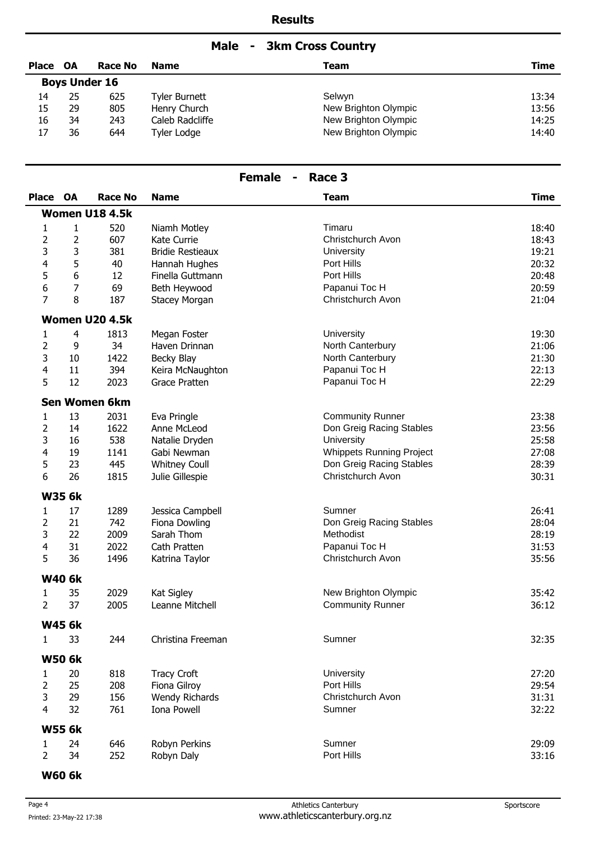## **Male - 3km Cross Country**

| Place OA |    | <b>Race No</b>       | <b>Name</b>          | Team                 | Time  |
|----------|----|----------------------|----------------------|----------------------|-------|
|          |    | <b>Boys Under 16</b> |                      |                      |       |
| 14       | 25 | 625                  | <b>Tyler Burnett</b> | Selwyn               | 13:34 |
| 15       | 29 | 805                  | Henry Church         | New Brighton Olympic | 13:56 |
| 16       | 34 | 243                  | Caleb Radcliffe      | New Brighton Olympic | 14:25 |
| 17       | 36 | 644                  | Tyler Lodge          | New Brighton Olympic | 14:40 |

# **Female - Race 3**

| <b>Place</b>   | OA            | <b>Race No</b>        | <b>Name</b>             | <b>Team</b>                     | <b>Time</b> |
|----------------|---------------|-----------------------|-------------------------|---------------------------------|-------------|
|                |               | <b>Women U18 4.5k</b> |                         |                                 |             |
| 1              | 1             | 520                   | Niamh Motley            | Timaru                          | 18:40       |
| $\overline{2}$ | 2             | 607                   | Kate Currie             | Christchurch Avon               | 18:43       |
| 3              | 3             | 381                   | <b>Bridie Restieaux</b> | University                      | 19:21       |
| 4              | 5             | 40                    | Hannah Hughes           | Port Hills                      | 20:32       |
| 5              | 6             | 12                    | Finella Guttmann        | Port Hills                      | 20:48       |
| 6              | 7             | 69                    | Beth Heywood            | Papanui Toc H                   | 20:59       |
| $\overline{7}$ | 8             | 187                   | Stacey Morgan           | Christchurch Avon               | 21:04       |
|                |               | Women U20 4.5k        |                         |                                 |             |
| 1              | 4             | 1813                  | Megan Foster            | University                      | 19:30       |
| $\overline{2}$ | 9             | 34                    | Haven Drinnan           | North Canterbury                | 21:06       |
| 3              | 10            | 1422                  | Becky Blay              | North Canterbury                | 21:30       |
| 4              | 11            | 394                   | Keira McNaughton        | Papanui Toc H                   | 22:13       |
| 5              | 12            | 2023                  | Grace Pratten           | Papanui Toc H                   | 22:29       |
|                |               | Sen Women 6km         |                         |                                 |             |
| 1              | 13            | 2031                  | Eva Pringle             | <b>Community Runner</b>         | 23:38       |
| 2              | 14            | 1622                  | Anne McLeod             | Don Greig Racing Stables        | 23:56       |
| 3              | 16            | 538                   | Natalie Dryden          | University                      | 25:58       |
| 4              | 19            | 1141                  | Gabi Newman             | <b>Whippets Running Project</b> | 27:08       |
| 5              | 23            | 445                   | <b>Whitney Coull</b>    | Don Greig Racing Stables        | 28:39       |
| 6              | 26            | 1815                  | Julie Gillespie         | Christchurch Avon               | 30:31       |
|                | <b>W35 6k</b> |                       |                         |                                 |             |
| 1              | 17            | 1289                  | Jessica Campbell        | Sumner                          | 26:41       |
| $\overline{2}$ | 21            | 742                   | Fiona Dowling           | Don Greig Racing Stables        | 28:04       |
| 3              | 22            | 2009                  | Sarah Thom              | Methodist                       | 28:19       |
| 4              | 31            | 2022                  | Cath Pratten            | Papanui Toc H                   | 31:53       |
| 5              | 36            | 1496                  | Katrina Taylor          | Christchurch Avon               | 35:56       |
|                | <b>W40 6k</b> |                       |                         |                                 |             |
| 1              | 35            | 2029                  | Kat Sigley              | New Brighton Olympic            | 35:42       |
| $\overline{2}$ | 37            | 2005                  | Leanne Mitchell         | <b>Community Runner</b>         | 36:12       |
|                | <b>W45 6k</b> |                       |                         |                                 |             |
| 1.             | 33            | 244                   | Christina Freeman       | Sumner                          | 32:35       |
|                | <b>W50 6k</b> |                       |                         |                                 |             |
| 1              | 20            | 818                   | <b>Tracy Croft</b>      | University                      | 27:20       |
| $\overline{2}$ | 25            | 208                   | Fiona Gilroy            | Port Hills                      | 29:54       |
| 3              | 29            | 156                   | <b>Wendy Richards</b>   | Christchurch Avon               | 31:31       |
| $\overline{4}$ | 32            | 761                   | Iona Powell             | Sumner                          | 32:22       |
|                | <b>W55 6k</b> |                       |                         |                                 |             |
| 1              | 24            | 646                   | Robyn Perkins           | Sumner                          | 29:09       |
| $\overline{2}$ | 34            | 252                   | Robyn Daly              | Port Hills                      | 33:16       |
|                |               |                       |                         |                                 |             |

**W60 6k**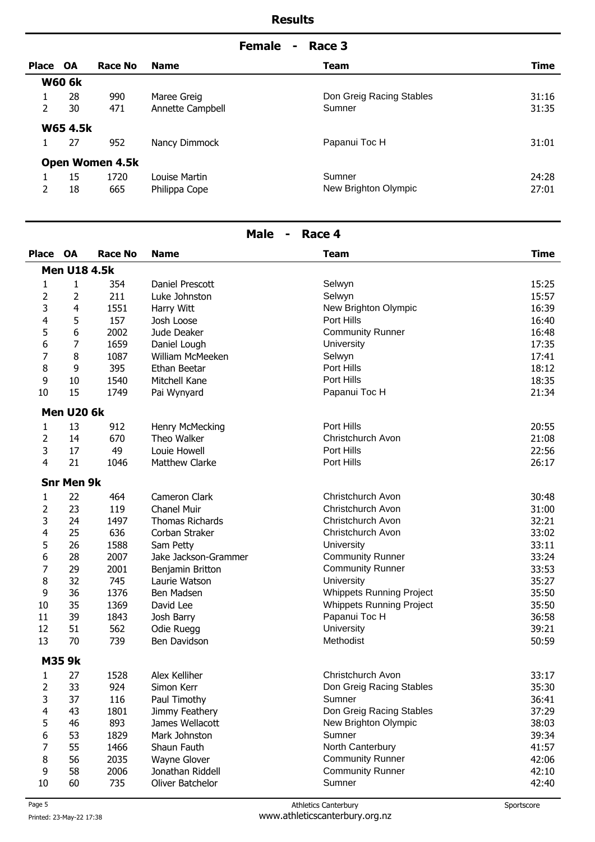|          |                 |                        |                  | Race 3<br><b>Female</b><br>$\blacksquare$ |       |
|----------|-----------------|------------------------|------------------|-------------------------------------------|-------|
| Place OA |                 | Race No                | <b>Name</b>      | <b>Team</b>                               | Time  |
|          | <b>W60 6k</b>   |                        |                  |                                           |       |
| 1        | 28              | 990                    | Maree Greig      | Don Greig Racing Stables                  | 31:16 |
| 2        | 30              | 471                    | Annette Campbell | Sumner                                    | 31:35 |
|          | <b>W65 4.5k</b> |                        |                  |                                           |       |
| 1        | 27              | 952                    | Nancy Dimmock    | Papanui Toc H                             | 31:01 |
|          |                 | <b>Open Women 4.5k</b> |                  |                                           |       |
|          | 15              | 1720                   | Louise Martin    | Sumner                                    | 24:28 |
| 2        | 18              | 665                    | Philippa Cope    | New Brighton Olympic                      | 27:01 |

| <b>Male</b><br>Race 4<br>$\blacksquare$ |                     |                |                        |                                 |             |
|-----------------------------------------|---------------------|----------------|------------------------|---------------------------------|-------------|
| Place                                   | <b>OA</b>           | <b>Race No</b> | <b>Name</b>            | <b>Team</b>                     | <b>Time</b> |
|                                         | <b>Men U18 4.5k</b> |                |                        |                                 |             |
| 1                                       | 1                   | 354            | Daniel Prescott        | Selwyn                          | 15:25       |
| 2                                       | 2                   | 211            | Luke Johnston          | Selwyn                          | 15:57       |
| 3                                       | $\overline{4}$      | 1551           | Harry Witt             | New Brighton Olympic            | 16:39       |
| 4                                       | 5                   | 157            | Josh Loose             | Port Hills                      | 16:40       |
| 5                                       | 6                   | 2002           | Jude Deaker            | <b>Community Runner</b>         | 16:48       |
| 6                                       | 7                   | 1659           | Daniel Lough           | University                      | 17:35       |
| 7                                       | 8                   | 1087           | William McMeeken       | Selwyn                          | 17:41       |
| 8                                       | 9                   | 395            | Ethan Beetar           | Port Hills                      | 18:12       |
| 9                                       | 10                  | 1540           | Mitchell Kane          | Port Hills                      | 18:35       |
| 10                                      | 15                  | 1749           | Pai Wynyard            | Papanui Toc H                   | 21:34       |
|                                         | <b>Men U20 6k</b>   |                |                        |                                 |             |
| 1                                       | 13                  | 912            | Henry McMecking        | Port Hills                      | 20:55       |
| $\overline{2}$                          | 14                  | 670            | Theo Walker            | Christchurch Avon               | 21:08       |
| 3                                       | 17                  | 49             | Louie Howell           | Port Hills                      | 22:56       |
| 4                                       | 21                  | 1046           | <b>Matthew Clarke</b>  | Port Hills                      | 26:17       |
|                                         | <b>Snr Men 9k</b>   |                |                        |                                 |             |
| 1                                       | 22                  | 464            | Cameron Clark          | Christchurch Avon               | 30:48       |
| 2                                       | 23                  | 119            | <b>Chanel Muir</b>     | Christchurch Avon               | 31:00       |
| 3                                       | 24                  | 1497           | <b>Thomas Richards</b> | Christchurch Avon               | 32:21       |
| 4                                       | 25                  | 636            | Corban Straker         | Christchurch Avon               | 33:02       |
| 5                                       | 26                  | 1588           | Sam Petty              | University                      | 33:11       |
| 6                                       | 28                  | 2007           | Jake Jackson-Grammer   | <b>Community Runner</b>         | 33:24       |
| 7                                       | 29                  | 2001           | Benjamin Britton       | <b>Community Runner</b>         | 33:53       |
| 8                                       | 32                  | 745            | Laurie Watson          | University                      | 35:27       |
| 9                                       | 36                  | 1376           | Ben Madsen             | Whippets Running Project        | 35:50       |
| 10                                      | 35                  | 1369           | David Lee              | <b>Whippets Running Project</b> | 35:50       |
| 11                                      | 39                  | 1843           | Josh Barry             | Papanui Toc H                   | 36:58       |
| 12                                      | 51                  | 562            | Odie Ruegg             | University                      | 39:21       |
| 13                                      | 70                  | 739            | Ben Davidson           | Methodist                       | 50:59       |
|                                         | <b>M35 9k</b>       |                |                        |                                 |             |
| 1                                       | 27                  | 1528           | Alex Kelliher          | Christchurch Avon               | 33:17       |
| 2                                       | 33                  | 924            | Simon Kerr             | Don Greig Racing Stables        | 35:30       |
| 3                                       | 37                  | 116            | Paul Timothy           | Sumner                          | 36:41       |
| 4                                       | 43                  | 1801           | Jimmy Feathery         | Don Greig Racing Stables        | 37:29       |
| 5                                       | 46                  | 893            | James Wellacott        | New Brighton Olympic            | 38:03       |
| 6                                       | 53                  | 1829           | Mark Johnston          | Sumner                          | 39:34       |
| 7                                       | 55                  | 1466           | Shaun Fauth            | North Canterbury                | 41:57       |
| 8                                       | 56                  | 2035           | Wayne Glover           | <b>Community Runner</b>         | 42:06       |
| 9                                       | 58                  | 2006           | Jonathan Riddell       | <b>Community Runner</b>         | 42:10       |

10 60 735 Oliver Batchelor Sumner Sumner 42:40